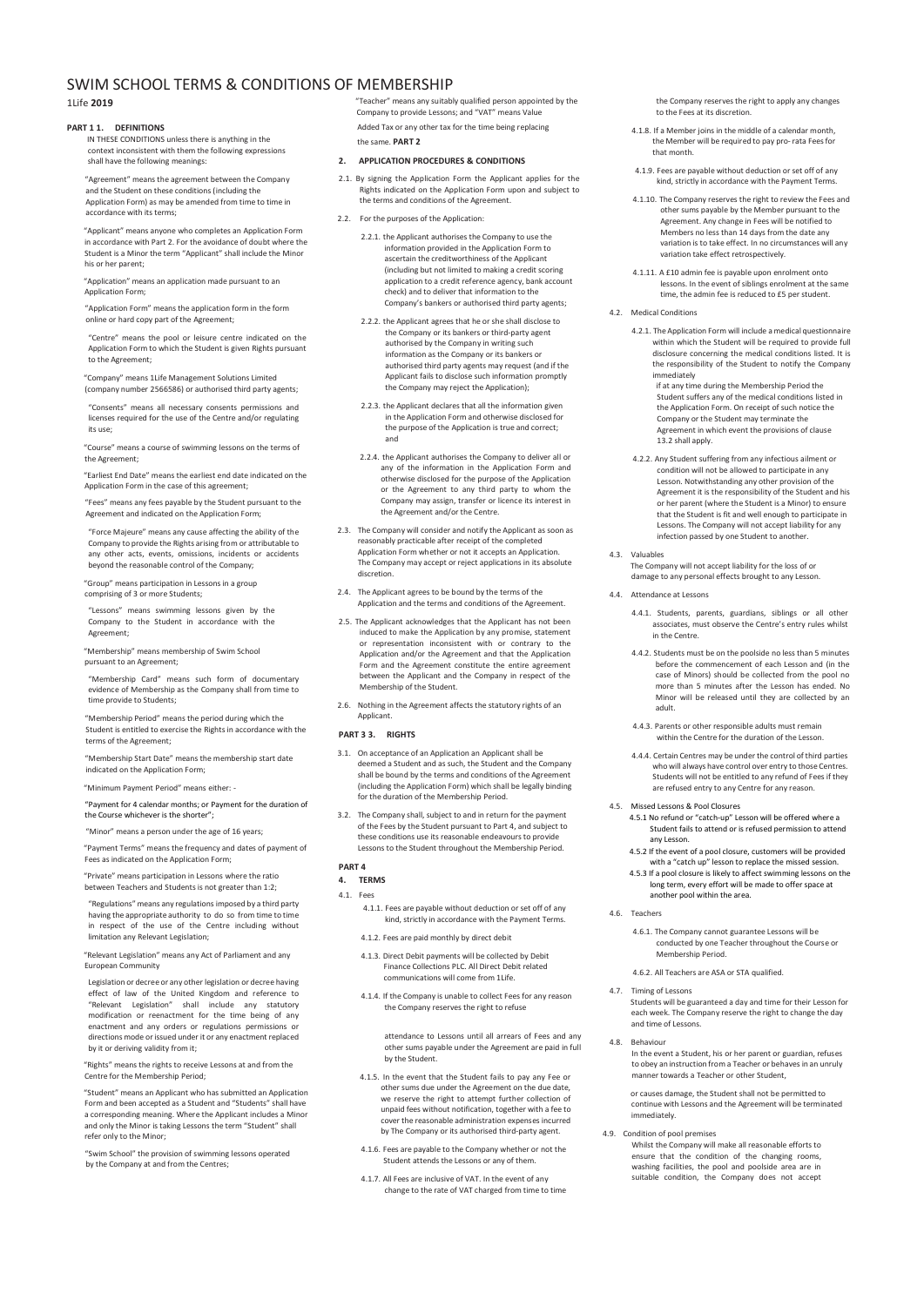# SWIM SCHOOL TERMS & CONDITIONS OF MEMBERSHIP

1Life **2019**

### **PART 1 1. DEFINITIONS**

IN THESE CONDITIONS unless there is anything in the context inconsistent with them the following expressions shall have the following meanings:

"Agreement" means the agreement between the Company and the Student on these conditions (including the Application Form) as may be amended from time to time in accordance with its terms;

"Applicant" means anyone who completes an Application Form in accordance with Part 2. For the avoidance of doubt where the Student is a Minor the term "Applicant" shall include the Minor his or her parent;

"Application" means an application made pursuant to an Application Form;

"Application Form" means the application form in the form online or hard copy part of the Agreement;

"Centre" means the pool or leisure centre indicated on the Application Form to which the Student is given Rights pursuant to the Agreement;

"Company" means 1Life Management Solutions Limited (company number 2566586) or authorised third party agents;

"Consents" means all necessary consents permissions and licenses required for the use of the Centre and/or regulating its use;

"Course" means a course of swimming lessons on the terms of the Agreement;

"Earliest End Date" means the earliest end date indicated on the Application Form in the case of this agreement;

"Fees" means any fees payable by the Student pursuant to the Agreement and indicated on the Application Form;

"Force Majeure" means any cause affecting the ability of the Company to provide the Rights arising from or attributable to any other acts, events, omissions, incidents or accidents beyond the reasonable control of the Company;

"Group" means participation in Lessons in a group comprising of 3 or more Students;

"Lessons" means swimming lessons given by the Company to the Student in accordance with the Agreement;

"Membership" means membership of Swim School pursuant to an Agreement;

"Membership Card" means such form of documentary evidence of Membership as the Company shall from time to time provide to Students;

"Membership Period" means the period during which the Student is entitled to exercise the Rights in accordance with the terms of the Agreement;

"Membership Start Date" means the membership start date indicated on the Application Form;

"Minimum Payment Period" means either: -

"Payment for 4 calendar months; or Payment for the duration of the Course whichever is the shorter"

"Minor" means a person under the age of 16 years;

"Payment Terms" means the frequency and dates of payment of Fees as indicated on the Application Form;

"Private" means participation in Lessons where the ratio between Teachers and Students is not greater than 1:2;

"Regulations" means any regulations imposed by a third party having the appropriate authority to do so from time to time in respect of the use of the Centre including without limitation any Relevant Legislation;

"Relevant Legislation" means any Act of Parliament and any European Community

Legislation or decree or any other legislation or decree having effect of law of the United Kingdom and reference to "Relevant Legislation" shall include any statutory modification or reenactment for the time being of any enactment and any orders or regulations permissions or directions mode or issued under it or any enactment replaced by it or deriving validity from it;

"Rights" means the rights to receive Lessons at and from the Centre for the Membership Period;

"Student" means an Applicant who has submitted an Application Form and been accepted as a Student and "Students" shall have a corresponding meaning. Where the Applicant includes a Minor and only the Minor is taking Lessons the term "Student" shall refer only to the Minor;

"Swim School" the provision of swimming lessons operated by the Company at and from the Centres;

"Teacher" means any suitably qualified person appointed by the Company to provide Lessons; and "VAT" means Value Added Tax or any other tax for the time being replacing the same. **PART 2**

### **2. APPLICATION PROCEDURES & CONDITIONS**

- 2.1. By signing the Application Form the Applicant applies for the Rights indicated on the Application Form upon and subject to the terms and conditions of the Agreement.
- 2.2. For the purposes of the Application
	- 2.2.1. the Applicant authorises the Company to use the information provided in the Application Form to ascertain the creditworthiness of the Applicant (including but not limited to making a credit scoring application to a credit reference agency, bank account check) and to deliver that information to the Company's bankers or authorised third party agents;
	- 2.2.2. the Applicant agrees that he or she shall disclose to the Company or its bankers or third-party agent authorised by the Company in writing such information as the Company or its bankers or authorised third party agents may request (and if the Applicant fails to disclose such information promptly the Company may reject the Application);
	- 2.2.3. the Applicant declares that all the information given in the Application Form and otherwise disclosed for the purpose of the Application is true and correct; and
	- 2.2.4. the Applicant authorises the Company to deliver all or any of the information in the Application Form and otherwise disclosed for the purpose of the Application or the Agreement to any third party to whom the Company may assign, transfer or licence its interest in the Agreement and/or the Centre.
- 2.3. The Company will consider and notify the Applicant as soon as reasonably practicable after receipt of the completed Application Form whether or not it accepts an Application. The Company may accept or reject applications in its absolute discretion.
- 2.4. The Applicant agrees to be bound by the terms of the Application and the terms and conditions of the Agreement.
- 2.5. The Applicant acknowledges that the Applicant has not been induced to make the Application by any promise, statement or representation inconsistent with or contrary to the Application and/or the Agreement and that the Application Form and the Agreement constitute the entire agreement between the Applicant and the Company in respect of the Membership of the Student.
- 2.6. Nothing in the Agreement affects the statutory rights of an Applicant.

### **PART 3 3. RIGHTS**

- 3.1. On acceptance of an Application an Applicant shall be deemed a Student and as such, the Student and the Company shall be bound by the terms and conditions of the Agreement (including the Application Form) which shall be legally binding for the duration of the Membership Period.
- 3.2. The Company shall, subject to and in return for the payment of the Fees by the Student pursuant to Part 4, and subject to these conditions use its reasonable endeavours to provide Lessons to the Student throughout the Membership Period.

## **PART 4**

## **4. TERMS** 4.1. Fees

- 4.1.1. Fees are payable without deduction or set off of any kind, strictly in accordance with the Payment Terms.
- 4.1.2. Fees are paid monthly by direct debit
- 4.1.3. Direct Debit payments will be collected by Debit Finance Collections PLC. All Direct Debit related communications will come from 1Life.
- 4.1.4. If the Company is unable to collect Fees for any reason the Company reserves the right to refuse

attendance to Lessons until all arrears of Fees and any other sums payable under the Agreement are paid in full by the Student.

- 4.1.5. In the event that the Student fails to pay any Fee or other sums due under the Agreement on the due date, we reserve the right to attempt further collection of unpaid fees without notification, together with a fee to cover the reasonable administration expenses incurred by The Company or its authorised third-party agent.
- 4.1.6. Fees are payable to the Company whether or not the Student attends the Lessons or any of them.
- 4.1.7. All Fees are inclusive of VAT. In the event of any change to the rate of VAT charged from time to time

the Company reserves the right to apply any changes to the Fees at its discretion.

- 4.1.8. If a Member joins in the middle of a calendar month, the Member will be required to pay pro-rata Fees for that month.
- 4.1.9. Fees are payable without deduction or set off of any kind, strictly in accordance with the Payment Terms.
- 4.1.10. The Company reserves the right to review the Fees and other sums payable by the Member pursuant to the Agreement. Any change in Fees will be notified to Members no less than 14 days from the date any variation is to take effect. In no circumstances will any variation take effect retrospectively.
- 4.1.11. A £10 admin fee is payable upon enrolment onto lessons. In the event of siblings enrolment at the same time, the admin fee is reduced to £5 per student.
- 4.2. Medical Conditions
	- 4.2.1. The Application Form will include a medical questionnaire within which the Student will be required to provide full disclosure concerning the medical conditions listed. It is the responsibility of the Student to notify the Company immediately

if at any time during the Membership Period the Student suffers any of the medical conditions listed in the Application Form. On receipt of such notice the Company or the Student may terminate the Agreement in which event the provisions of clause 13.2 shall apply.

- 4.2.2. Any Student suffering from any infectious ailment or condition will not be allowed to participate in any Lesson. Notwithstanding any other provision of the Agreement it is the responsibility of the Student and his or her parent (where the Student is a Minor) to ensure that the Student is fit and well enough to participate in Lessons. The Company will not accept liability for any infection passed by one Student to another.
- 4.3. Valuables
	- The Company will not accept liability for the loss of or damage to any personal effects brought to any Lesson.
- 4.4. Attendance at Lessons
	- 4.4.1. Students, parents, guardians, siblings or all other associates, must observe the Centre's entry rules whilst in the Centre.
	- 4.4.2. Students must be on the poolside no less than 5 minutes before the commencement of each Lesson and (in the case of Minors) should be collected from the pool no more than 5 minutes after the Lesson has ended. No Minor will be released until they are collected by an adult.
	- 4.4.3. Parents or other responsible adults must remain within the Centre for the duration of the Lesson.
	- 4.4.4. Certain Centres may be under the control of third parties who will always have control over entry to those Centres. Students will not be entitled to any refund of Fees if they are refused entry to any Centre for any reason.
- 4.5. Missed Lessons & Pool Closures
	- 4.5.1 No refund or "catch-up" Lesson will be offered where a Student fails to attend or is refused permission to attend any Lesson.
		- 4.5.2 If the event of a pool closure, customers will be provided with a "catch up" lesson to replace the missed session.
		- 4.5.3 If a pool closure is likely to affect swimming lessons on the long term, every effort will be made to offer space at another pool within the area.
- 4.6. Teachers
	- 4.6.1. The Company cannot guarantee Lessons will be conducted by one Teacher throughout the Course or Membership Period.
	- 4.6.2. All Teachers are ASA or STA qualified.
- 4.7. Timing of Lessons Students will be guaranteed a day and time for their Lesson for each week. The Company reserve the right to change the day and time of Lessons.
- 4.8. Behaviour In the event a Student, his or her parent or guardian, refuses to obey an instruction from a Teacher or behaves in an unruly manner towards a Teacher or other Student,

or causes damage, the Student shall not be permitted to continue with Lessons and the Agreement will be terminated immediately.

- 4.9. Condition of pool premises
	- Whilst the Company will make all reasonable efforts to ensure that the condition of the changing rooms, washing facilities, the pool and poolside area are in suitable condition, the Company does not accept